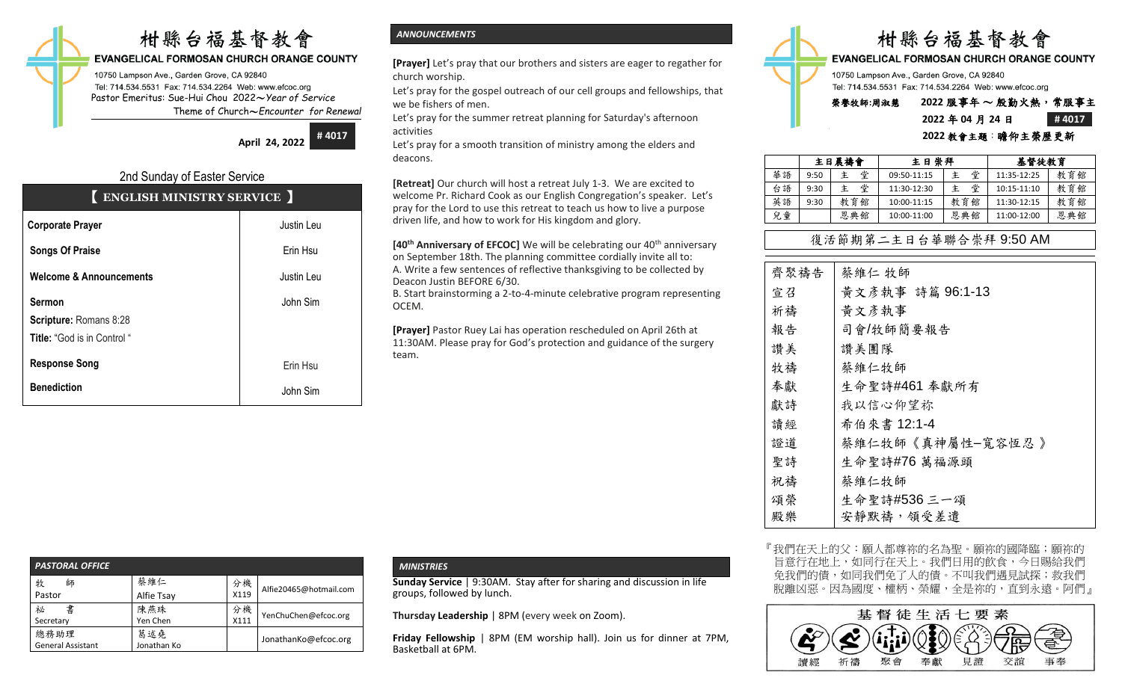# 柑縣台福基督教會

## **EVANGELICAL FORMOSAN CHURCH ORANGE COUNTY**

10750 Lampson Ave., Garden Grove, CA 92840 Tel: 714.534.5531 Fax: 714.534.2264 Web: www.efcoc.org Pastor Emeritus: Sue-Hui Chou 2022〜*Year of Service* Theme of Church〜*Encounter for Renewal*

> **April 24, 2022 # 4017**

# 2nd Sunday of Easter Service

# 【 **ENGLISH MINISTRY SERVICE** 】

| <b>Corporate Prayer</b>                                                       | Justin Leu |  |  |
|-------------------------------------------------------------------------------|------------|--|--|
| <b>Songs Of Praise</b>                                                        | Erin Hsu   |  |  |
| <b>Welcome &amp; Announcements</b>                                            | Justin Leu |  |  |
| <b>Sermon</b><br>Scripture: Romans 8:28<br><b>Title:</b> "God is in Control " | John Sim   |  |  |
| <b>Response Song</b>                                                          | Erin Hsu   |  |  |
| <b>Benediction</b>                                                            | John Sim   |  |  |

## *ANNOUNCEMENTS*

**[Prayer]** Let's pray that our brothers and sisters are eager to regather for church worship.

Let's pray for the gospel outreach of our cell groups and fellowships, that we be fishers of men.

Let's pray for the summer retreat planning for Saturday's afternoon activities

Let's pray for a smooth transition of ministry among the elders and deacons.

**[Retreat]** Our church will host a retreat July 1-3. We are excited to welcome Pr. Richard Cook as our English Congregation's speaker. Let's pray for the Lord to use this retreat to teach us how to live a purpose driven life, and how to work for His kingdom and glory.

**[40<sup>th</sup> Anniversary of EFCOC]** We will be celebrating our 40<sup>th</sup> anniversary on September 18th. The planning committee cordially invite all to: A. Write a few sentences of reflective thanksgiving to be collected by Deacon Justin BEFORE 6/30.

B. Start brainstorming a 2-to-4-minute celebrative program representing OCEM.

**[Prayer]** Pastor Ruey Lai has operation rescheduled on April 26th at 11:30AM. Please pray for God's protection and guidance of the surgery team.



# **2022** 年 **04** 月 **24** 日 **# 4017**

#### **2022** 教會主題:瞻仰主榮歷更新

|    | 主日晨禱會 |        | 主日崇拜        |     | 基督徒教育       |     |
|----|-------|--------|-------------|-----|-------------|-----|
| 華語 | 9:50  | 堂<br>主 | 09:50-11:15 | 堂   | 11:35-12:25 | 教育館 |
| 台語 | 9:30  | 堂<br>主 | 11:30-12:30 | 堂   | 10:15-11:10 | 教育館 |
| 英語 | 9:30  | 教育館    | 10:00-11:15 | 教育館 | 11:30-12:15 | 教育館 |
| 兒童 |       | 恩典館    | 10:00-11:00 | 恩典館 | 11:00-12:00 | 恩典館 |

# 復活節期第二主日台華聯合崇拜 9:50 AM

| 齊聚禱告 | 蔡維仁 牧師           |
|------|------------------|
| 宣召   | 黃文彥執事 詩篇 96:1-13 |
| 祈禱   | 黄文彦執事            |
| 報告   | 司會/牧師簡要報告        |
| 讚美   | 讚美團隊             |
| 牧禱   | 蔡維仁牧師            |
| 奉獻   | 生命聖詩#461 奉獻所有    |
| 獻詩   | 我以信心仰望祢          |
| 讀經   | 希伯來書 12:1-4      |
| 證道   | 蔡維仁牧師《真神屬性-寬容恆忍》 |
| 聖詩   | 生命聖詩#76 萬福源頭     |
| 祝禱   | 蔡維仁牧師            |
| 頌榮   | 生命聖詩#536 三一頌     |
| 殿樂   | 安靜默禱,領受差遣        |

『我們在天上的父:願人都尊祢的名為聖。願祢的國降臨;願祢的 旨意行在地上,如同行在天上。我們日用的飲食,今日賜給我們 免我們的債,如同我們免了人的債。不叫我們遇見試探;救我們 脫離凶惡。因為國度、權柄、榮耀,全是祢的,直到永遠。阿們」



| <b>PASTORAL OFFICE</b>           |                    |            |                        |
|----------------------------------|--------------------|------------|------------------------|
| 牧<br>師<br>Pastor                 | 蔡維仁<br>Alfie Tsay  | 分機<br>X119 | Alfie20465@hotmail.com |
| 書<br>祕<br>Secretary              | 陳燕珠<br>Yen Chen    | 分機<br>X111 | YenChuChen@efcoc.org   |
| 總務助理<br><b>General Assistant</b> | 葛述堯<br>Jonathan Ko |            | JonathanKo@efcoc.org   |

## *MINISTRIES*

**Sunday Service** | 9:30AM. Stay after for sharing and discussion in life groups, followed by lunch.

**Thursday Leadership** | 8PM (every week on Zoom).

**Friday Fellowship** | 8PM (EM worship hall). Join us for dinner at 7PM, Basketball at 6PM.